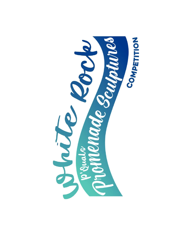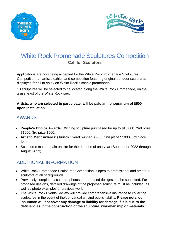



# White Rock Promenade Sculptures Competition **Call for Sculptors**

Applications are now being accepted for the White Rock Promenade Sculptures Competition, an artistic exhibit and competition featuring original out door sculptures displayed for all to enjoy on White Rock's scenic promenade.

10 sculptures will be selected to be located along the White Rock Promenade, on the grass, east of the White Rock pier.

#### **Artists, who are selected to participate, will be paid an honourarium of \$500 upon installation.**

#### AWARDS

- **People's Choice Awards**: Winning sculpture purchased for up to \$15,000, 2nd prize \$1000, 3rd prize \$500.
- **Artistic Merit Awards**: (Juried) Overall winner \$5000, 2nd place \$1000, 3rd place \$500.
- Sculptures must remain on site for the duration of one year (September 2022 through August 2023).

#### ADDITIONAL INFORMATION

- White Rock Promenade Sculptures Competition is open to professional and amateur sculptors of all backgrounds.
- Previously completed sculpture photos, or proposed designs can be submitted. For proposed designs, detailed drawings of the proposed sculpture must be included, as well as photo examples of previous work.
- The White Rock Events Society will provide comprehensive insurance to cover the sculptures in the event of theft or vandalism and public liability. **Please note, our insurance will not cover any damage or liability for damage if it is due to the deficiencies in the construction of the sculpture, workmanship or materials.**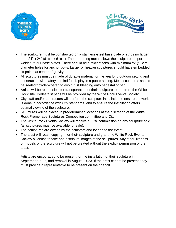



- The sculpture must be constructed on a stainless-steel base plate or strips no larger than 24" x 24" (61cm x 61cm). The protruding metal allows the sculpture to spot welded to our base plates. There should be sufficient tabs with minimum  $\frac{1}{2}$ " (1.3cm) diameter holes for anchor bolts. Larger or heavier sculptures should have embedded lift points at center of gravity.
- All sculptures must be made of durable material for the yearlong outdoor setting and constructed with safety in mind for display in a public setting. Metal sculptures should be sealed/powder-coated to avoid rust bleeding onto pedestal or pad.
- Artists will be responsible for transportation of their sculpture to and from the White Rock site. Pedestals/ pads will be provided by the White Rock Events Society.
- City staff and/or contractors will perform the sculpture installation to ensure the work is done in accordance with City standards, and to ensure the installation offers optimal viewing of the sculpture.
- Sculptures will be placed in predetermined locations at the discretion of the White Rock Promenade Sculptures Competition committee and City.
- The White Rock Events Society will receive a 30% commission on any sculpture sold (all sculptures must be available for sale).
- The sculptures are owned by the sculptors and loaned to the event.
- The artist will retain copyright for their sculpture and grant the White Rock Events Society a license to take and distribute images of the sculptures. Any other likeness or models of the sculpture will not be created without the explicit permission of the artist.

Artists are encouraged to be present for the installation of their sculpture in September 2022, and removal in August, 2023. If the artist cannot be present, they must provide a representative to be present on their behalf.